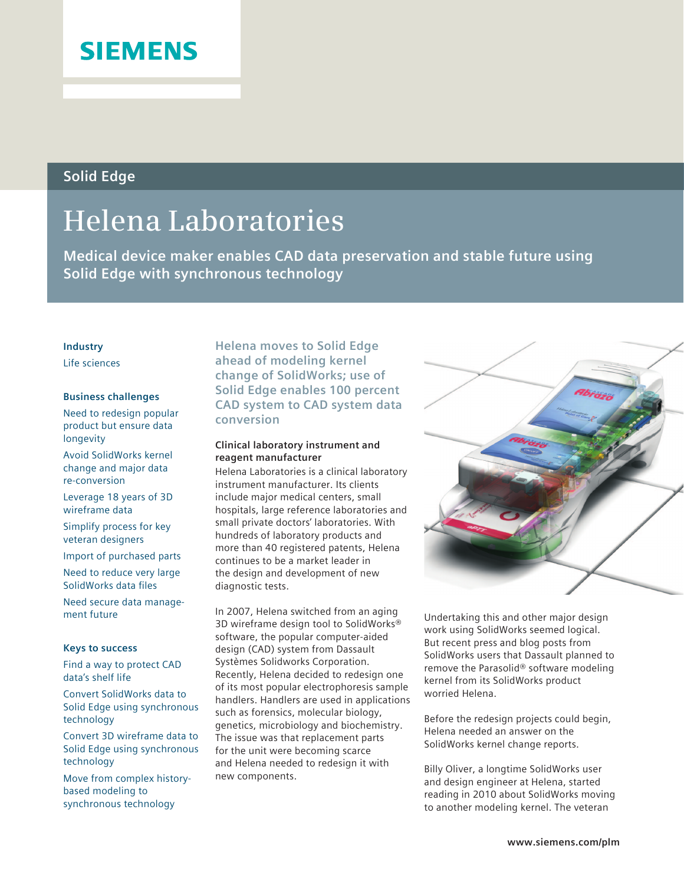## **SIEMENS**

### **Solid Edge**

# **Helena Laboratories**

**Medical device maker enables CAD data preservation and stable future using Solid Edge with synchronous technology**

#### **Industry**

Life sciences

#### **Business challenges**

Need to redesign popular product but ensure data longevity

Avoid SolidWorks kernel change and major data re-conversion

Leverage 18 years of 3D wireframe data

Simplify process for key veteran designers

Import of purchased parts

Need to reduce very large SolidWorks data files

Need secure data management future

#### **Keys to success**

Find a way to protect CAD data's shelf life

Convert SolidWorks data to Solid Edge using synchronous technology

Convert 3D wireframe data to Solid Edge using synchronous technology

Move from complex historybased modeling to synchronous technology

**Helena moves to Solid Edge ahead of modeling kernel change of SolidWorks; use of Solid Edge enables 100 percent CAD system to CAD system data conversion**

#### **Clinical laboratory instrument and reagent manufacturer**

Helena Laboratories is a clinical laboratory instrument manufacturer. Its clients include major medical centers, small hospitals, large reference laboratories and small private doctors' laboratories. With hundreds of laboratory products and more than 40 registered patents, Helena continues to be a market leader in the design and development of new diagnostic tests.

In 2007, Helena switched from an aging 3D wireframe design tool to SolidWorks® software, the popular computer-aided design (CAD) system from Dassault Systèmes Solidworks Corporation. Recently, Helena decided to redesign one of its most popular electrophoresis sample handlers. Handlers are used in applications such as forensics, molecular biology, genetics, microbiology and biochemistry. The issue was that replacement parts for the unit were becoming scarce and Helena needed to redesign it with new components.

Undertaking this and other major design work using SolidWorks seemed logical. But recent press and blog posts from SolidWorks users that Dassault planned to remove the Parasolid® software modeling kernel from its SolidWorks product worried Helena.

Before the redesign projects could begin, Helena needed an answer on the SolidWorks kernel change reports.

Billy Oliver, a longtime SolidWorks user and design engineer at Helena, started reading in 2010 about SolidWorks moving to another modeling kernel. The veteran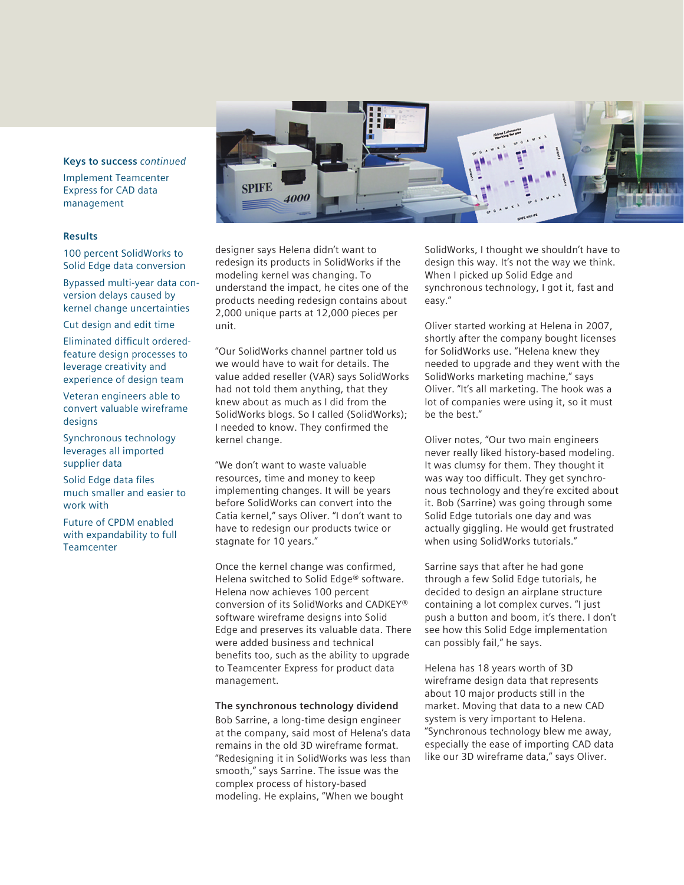#### **Keys to success** *continued*

Implement Teamcenter Express for CAD data management

#### **Results**

100 percent SolidWorks to Solid Edge data conversion

Bypassed multi-year data conversion delays caused by kernel change uncertainties

Cut design and edit time

Eliminated difficult orderedfeature design processes to leverage creativity and experience of design team

Veteran engineers able to convert valuable wireframe desians

Synchronous technology leverages all imported supplier data

Solid Edge data files much smaller and easier to work with

Future of CPDM enabled with expandability to full **Teamcenter** 



designer says Helena didn't want to redesign its products in SolidWorks if the modeling kernel was changing. To understand the impact, he cites one of the products needing redesign contains about 2,000 unique parts at 12,000 pieces per unit.

"Our SolidWorks channel partner told us we would have to wait for details. The value added reseller (VAR) says SolidWorks had not told them anything, that they knew about as much as I did from the SolidWorks blogs. So I called (SolidWorks); I needed to know. They confirmed the kernel change.

"We don't want to waste valuable resources, time and money to keep implementing changes. It will be years before SolidWorks can convert into the Catia kernel," says Oliver. "I don't want to have to redesign our products twice or stagnate for 10 years."

Once the kernel change was confirmed, Helena switched to Solid Edge® software. Helena now achieves 100 percent conversion of its SolidWorks and CADKEY® software wireframe designs into Solid Edge and preserves its valuable data. There were added business and technical benefits too, such as the ability to upgrade to Teamcenter Express for product data management.

#### **The synchronous technology dividend**

Bob Sarrine, a long-time design engineer at the company, said most of Helena's data remains in the old 3D wireframe format. "Redesigning it in SolidWorks was less than smooth," says Sarrine. The issue was the complex process of history-based modeling. He explains, "When we bought

SolidWorks, I thought we shouldn't have to design this way. It's not the way we think. When I picked up Solid Edge and synchronous technology, I got it, fast and easy."

Oliver started working at Helena in 2007, shortly after the company bought licenses for SolidWorks use. "Helena knew they needed to upgrade and they went with the SolidWorks marketing machine," says Oliver. "It's all marketing. The hook was a lot of companies were using it, so it must be the best."

Oliver notes, "Our two main engineers never really liked history-based modeling. It was clumsy for them. They thought it was way too difficult. They get synchronous technology and they're excited about it. Bob (Sarrine) was going through some Solid Edge tutorials one day and was actually giggling. He would get frustrated when using SolidWorks tutorials."

Sarrine says that after he had gone through a few Solid Edge tutorials, he decided to design an airplane structure containing a lot complex curves. "I just push a button and boom, it's there. I don't see how this Solid Edge implementation can possibly fail," he says.

Helena has 18 years worth of 3D wireframe design data that represents about 10 major products still in the market. Moving that data to a new CAD system is very important to Helena. "Synchronous technology blew me away, especially the ease of importing CAD data like our 3D wireframe data," says Oliver.